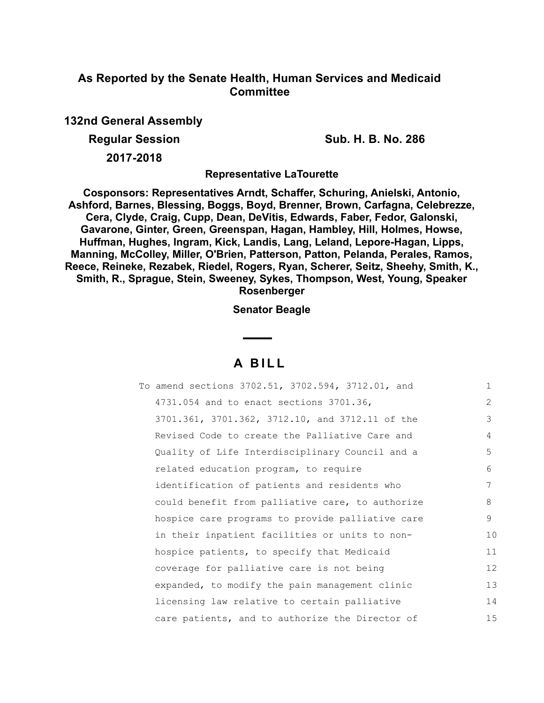## **As Reported by the Senate Health, Human Services and Medicaid Committee**

**132nd General Assembly**

**Regular Session Sub. H. B. No. 286**

**2017-2018**

**Representative LaTourette**

**Cosponsors: Representatives Arndt, Schaffer, Schuring, Anielski, Antonio, Ashford, Barnes, Blessing, Boggs, Boyd, Brenner, Brown, Carfagna, Celebrezze, Cera, Clyde, Craig, Cupp, Dean, DeVitis, Edwards, Faber, Fedor, Galonski, Gavarone, Ginter, Green, Greenspan, Hagan, Hambley, Hill, Holmes, Howse, Huffman, Hughes, Ingram, Kick, Landis, Lang, Leland, Lepore-Hagan, Lipps, Manning, McColley, Miller, O'Brien, Patterson, Patton, Pelanda, Perales, Ramos, Reece, Reineke, Rezabek, Riedel, Rogers, Ryan, Scherer, Seitz, Sheehy, Smith, K., Smith, R., Sprague, Stein, Sweeney, Sykes, Thompson, West, Young, Speaker Rosenberger**

**Senator Beagle**

# **A B I L L**

| To amend sections 3702.51, 3702.594, 3712.01, and | $\mathbf{1}$  |
|---------------------------------------------------|---------------|
| 4731.054 and to enact sections 3701.36,           | $\mathcal{L}$ |
| 3701.361, 3701.362, 3712.10, and 3712.11 of the   | 3             |
| Revised Code to create the Palliative Care and    | 4             |
| Quality of Life Interdisciplinary Council and a   | 5             |
| related education program, to require             | 6             |
| identification of patients and residents who      | 7             |
| could benefit from palliative care, to authorize  | 8             |
| hospice care programs to provide palliative care  | 9             |
| in their inpatient facilities or units to non-    | 10            |
| hospice patients, to specify that Medicaid        | 11            |
| coverage for palliative care is not being         | 12            |
| expanded, to modify the pain management clinic    | 13            |
| licensing law relative to certain palliative      | 14            |
| care patients, and to authorize the Director of   | 15            |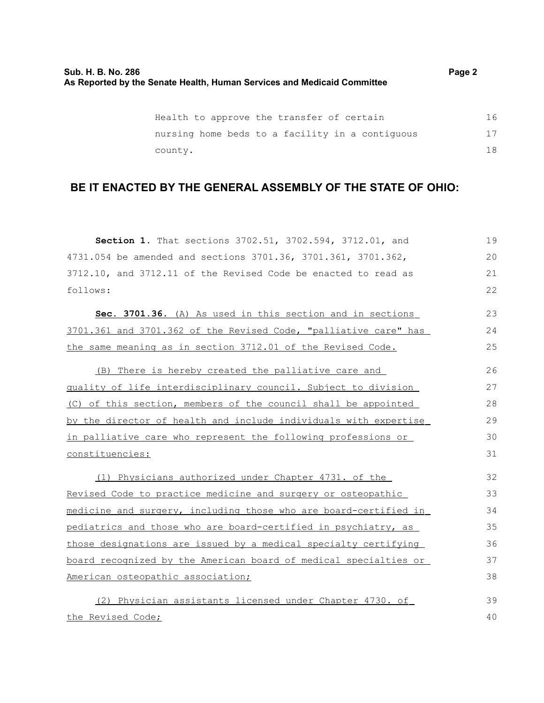| × |  |
|---|--|
|---|--|

| Health to approve the transfer of certain       | 16  |
|-------------------------------------------------|-----|
| nursing home beds to a facility in a contiguous | 17  |
| county.                                         | 18. |

# **BE IT ENACTED BY THE GENERAL ASSEMBLY OF THE STATE OF OHIO:**

| Section 1. That sections 3702.51, 3702.594, 3712.01, and         | 19 |
|------------------------------------------------------------------|----|
| 4731.054 be amended and sections 3701.36, 3701.361, 3701.362,    | 20 |
| 3712.10, and 3712.11 of the Revised Code be enacted to read as   | 21 |
| follows:                                                         | 22 |
| Sec. 3701.36. (A) As used in this section and in sections        | 23 |
| 3701.361 and 3701.362 of the Revised Code, "palliative care" has | 24 |
| the same meaning as in section 3712.01 of the Revised Code.      | 25 |
| (B) There is hereby created the palliative care and              | 26 |
| quality of life interdisciplinary council. Subject to division   | 27 |
| (C) of this section, members of the council shall be appointed   | 28 |
| by the director of health and include individuals with expertise | 29 |
| in palliative care who represent the following professions or    | 30 |
| constituencies:                                                  | 31 |
| (1) Physicians authorized under Chapter 4731. of the             | 32 |
| Revised Code to practice medicine and surgery or osteopathic     | 33 |
| medicine and surgery, including those who are board-certified in | 34 |
| pediatrics and those who are board-certified in psychiatry, as   | 35 |
| those designations are issued by a medical specialty certifying  | 36 |
| board recognized by the American board of medical specialties or | 37 |
| American osteopathic association;                                | 38 |
| (2) Physician assistants licensed under Chapter 4730. of         | 39 |
| the Revised Code;                                                | 40 |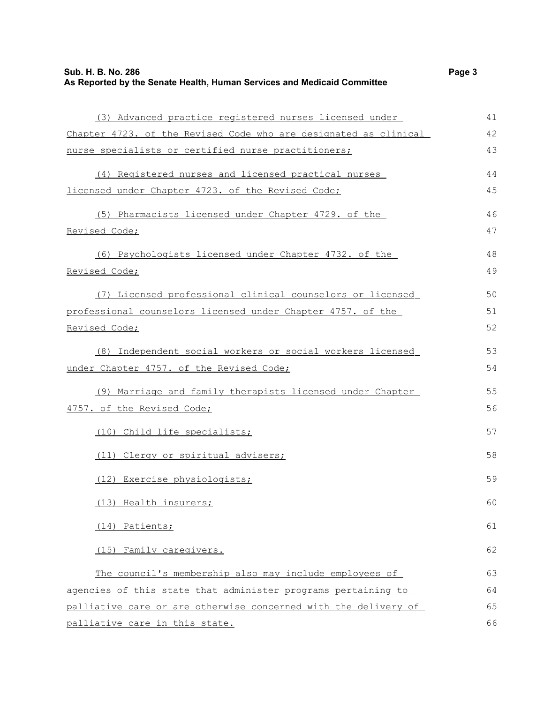## **Sub. H. B. No. 286 Page 3 As Reported by the Senate Health, Human Services and Medicaid Committee**

| (3) Advanced practice registered nurses licensed under           | 41 |
|------------------------------------------------------------------|----|
| Chapter 4723. of the Revised Code who are designated as clinical | 42 |
| nurse specialists or certified nurse practitioners;              | 43 |
| (4) Registered nurses and licensed practical nurses              | 44 |
| licensed under Chapter 4723. of the Revised Code;                | 45 |
| (5) Pharmacists licensed under Chapter 4729. of the              | 46 |
| Revised Code;                                                    | 47 |
| (6) Psychologists licensed under Chapter 4732. of the            | 48 |
| Revised Code;                                                    | 49 |
| (7) Licensed professional clinical counselors or licensed        | 50 |
| professional counselors licensed under Chapter 4757. of the      | 51 |
| Revised Code;                                                    | 52 |
| (8) Independent social workers or social workers licensed        | 53 |
| under Chapter 4757. of the Revised Code;                         | 54 |
| (9) Marriage and family therapists licensed under Chapter        | 55 |
| 4757. of the Revised Code;                                       | 56 |
| (10) Child life specialists;                                     | 57 |
| (11) Clergy or spiritual advisers;                               | 58 |
| (12) Exercise physiologists;                                     | 59 |
| (13) Health insurers;                                            | 60 |
| (14) Patients;                                                   | 61 |
| (15) Family caregivers.                                          | 62 |
| The council's membership also may include employees of           | 63 |
| agencies of this state that administer programs pertaining to    | 64 |
| palliative care or are otherwise concerned with the delivery of  | 65 |
| palliative care in this state.                                   | 66 |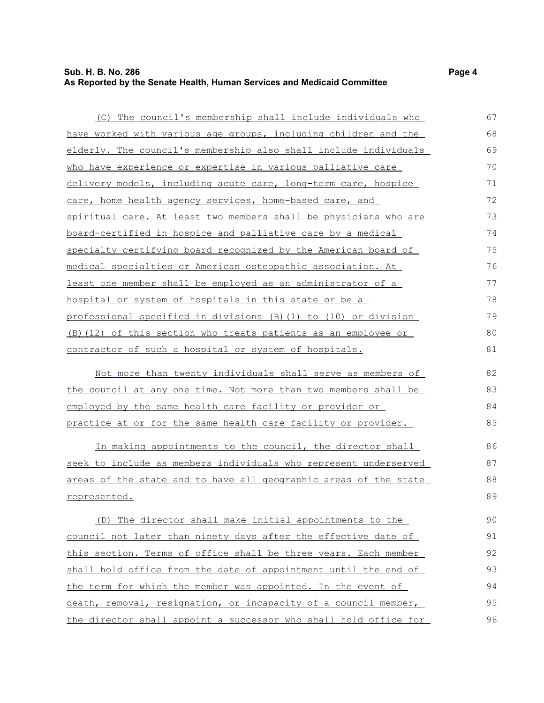#### **Sub. H. B. No. 286 Page 4 As Reported by the Senate Health, Human Services and Medicaid Committee**

| (C) The council's membership shall include individuals who           | 67 |
|----------------------------------------------------------------------|----|
| have worked with various age groups, including children and the      | 68 |
| elderly. The council's membership also shall include individuals     | 69 |
| who have experience or expertise in various palliative care          | 70 |
| delivery models, including acute care, long-term care, hospice       | 71 |
| care, home health agency services, home-based care, and              | 72 |
| spiritual care. At least two members shall be physicians who are     | 73 |
| board-certified in hospice and palliative care by a medical          | 74 |
| specialty certifying board recognized by the American board of       | 75 |
| medical specialties or American osteopathic association. At          | 76 |
| least one member shall be employed as an administrator of a          | 77 |
| <u>hospital or system of hospitals in this state or be a</u>         | 78 |
| professional specified in divisions (B)(1) to (10) or division       | 79 |
| <u>(B)(12)</u> of this section who treats patients as an employee or | 80 |
| contractor of such a hospital or system of hospitals.                | 81 |
| Not more than twenty individuals shall serve as members of           | 82 |
| the council at any one time. Not more than two members shall be      | 83 |
| employed by the same health care facility or provider or             | 84 |
| practice at or for the same health care facility or provider.        | 85 |
| In making appointments to the council, the director shall            | 86 |
| seek to include as members individuals who represent underserved     | 87 |
| areas of the state and to have all geographic areas of the state     | 88 |
| represented.                                                         | 89 |
| (D) The director shall make initial appointments to the              | 90 |
| council not later than ninety days after the effective date of       | 91 |
| this section. Terms of office shall be three years. Each member      | 92 |
| shall hold office from the date of appointment until the end of      | 93 |
| the term for which the member was appointed. In the event of         | 94 |

death, removal, resignation, or incapacity of a council member, the director shall appoint a successor who shall hold office for 95 96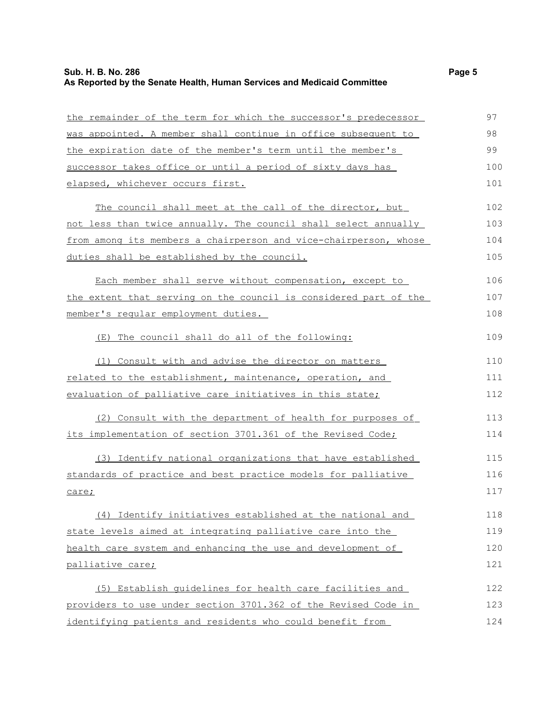## **Sub. H. B. No. 286 Page 5 As Reported by the Senate Health, Human Services and Medicaid Committee**

| the remainder of the term for which the successor's predecessor  | 97  |
|------------------------------------------------------------------|-----|
| was appointed. A member shall continue in office subsequent to   | 98  |
| the expiration date of the member's term until the member's      | 99  |
| successor takes office or until a period of sixty days has       | 100 |
| elapsed, whichever occurs first.                                 | 101 |
| The council shall meet at the call of the director, but          | 102 |
| not less than twice annually. The council shall select annually  | 103 |
| from among its members a chairperson and vice-chairperson, whose | 104 |
| duties shall be established by the council.                      | 105 |
| Each member shall serve without compensation, except to          | 106 |
| the extent that serving on the council is considered part of the | 107 |
| member's regular employment duties.                              | 108 |
| (E) The council shall do all of the following:                   | 109 |
| (1) Consult with and advise the director on matters              | 110 |
| related to the establishment, maintenance, operation, and        | 111 |
| evaluation of palliative care initiatives in this state;         | 112 |
| (2) Consult with the department of health for purposes of        | 113 |
| its implementation of section 3701.361 of the Revised Code;      | 114 |
| (3) Identify national organizations that have established        | 115 |
| standards of practice and best practice models for palliative    | 116 |
| care;                                                            | 117 |
| (4) Identify initiatives established at the national and         | 118 |
| state levels aimed at integrating palliative care into the       | 119 |
| health care system and enhancing the use and development of      | 120 |
| palliative care;                                                 | 121 |
| (5) Establish guidelines for health care facilities and          | 122 |
| providers to use under section 3701.362 of the Revised Code in   | 123 |
| identifying patients and residents who could benefit from        | 124 |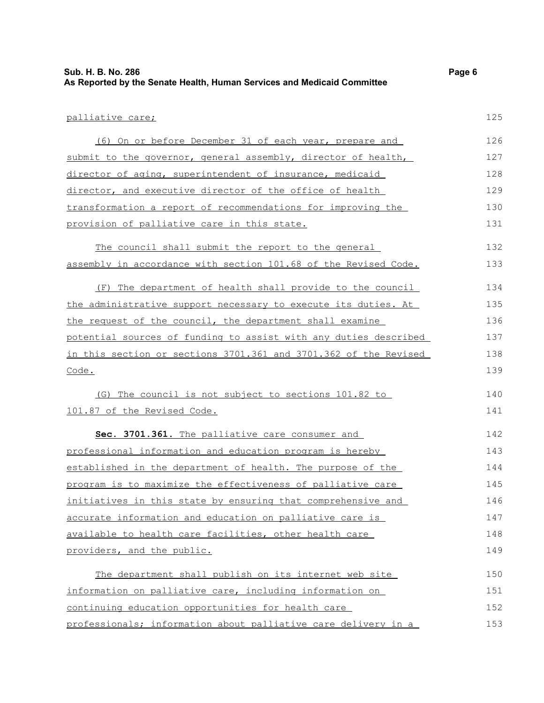| palliative care;                                                 | 125 |
|------------------------------------------------------------------|-----|
| (6) On or before December 31 of each year, prepare and           | 126 |
| submit to the governor, general assembly, director of health,    | 127 |
| director of aging, superintendent of insurance, medicaid         | 128 |
| director, and executive director of the office of health         | 129 |
| transformation a report of recommendations for improving the     | 130 |
| provision of palliative care in this state.                      | 131 |
| The council shall submit the report to the general               | 132 |
| assembly in accordance with section 101.68 of the Revised Code.  | 133 |
| (F) The department of health shall provide to the council        | 134 |
| the administrative support necessary to execute its duties. At   | 135 |
| the request of the council, the department shall examine         | 136 |
| potential sources of funding to assist with any duties described | 137 |
| in this section or sections 3701.361 and 3701.362 of the Revised | 138 |
| Code.                                                            | 139 |
| (G) The council is not subject to sections 101.82 to             | 140 |
| 101.87 of the Revised Code.                                      | 141 |
| Sec. 3701.361. The palliative care consumer and                  | 142 |
| professional information and education program is hereby         | 143 |
| established in the department of health. The purpose of the      | 144 |
| program is to maximize the effectiveness of palliative care      | 145 |
| initiatives in this state by ensuring that comprehensive and     | 146 |
| accurate information and education on palliative care is         | 147 |
| available to health care facilities, other health care           | 148 |
| providers, and the public.                                       | 149 |
| The department shall publish on its internet web site            | 150 |
| information on palliative care, including information on         | 151 |
| continuing education opportunities for health care               | 152 |
| professionals; information about palliative care delivery in a   | 153 |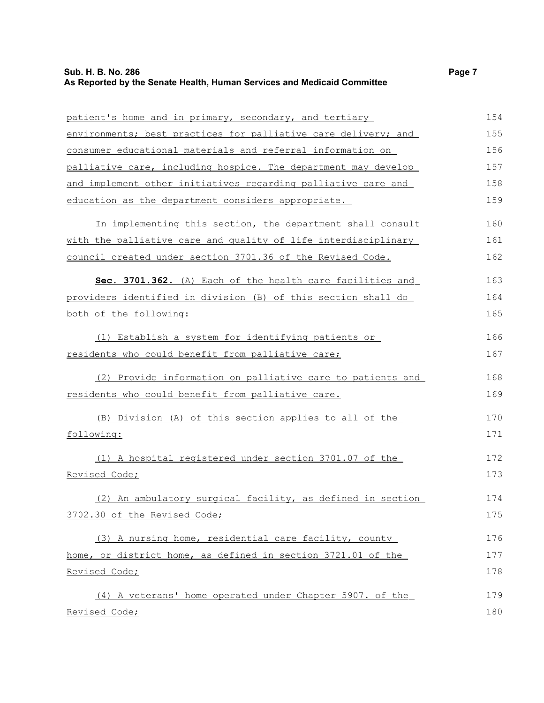## **Sub. H. B. No. 286 Page 7 As Reported by the Senate Health, Human Services and Medicaid Committee**

| patient's home and in primary, secondary, and tertiary         | 154 |
|----------------------------------------------------------------|-----|
| environments; best practices for palliative care delivery; and | 155 |
| consumer educational materials and referral information on     | 156 |
| palliative care, including hospice. The department may develop | 157 |
| and implement other initiatives regarding palliative care and  | 158 |
| education as the department considers appropriate.             | 159 |
| In implementing this section, the department shall consult     | 160 |
| with the palliative care and quality of life interdisciplinary | 161 |
| council created under section 3701.36 of the Revised Code.     | 162 |
| Sec. 3701.362. (A) Each of the health care facilities and      | 163 |
| providers identified in division (B) of this section shall do  | 164 |
| both of the following:                                         | 165 |
| (1) Establish a system for identifying patients or             | 166 |
| residents who could benefit from palliative care;              | 167 |
| (2) Provide information on palliative care to patients and     | 168 |
| residents who could benefit from palliative care.              | 169 |
| (B) Division (A) of this section applies to all of the         | 170 |
| following:                                                     | 171 |
| (1) A hospital registered under section 3701.07 of the         | 172 |
| Revised Code;                                                  | 173 |
| (2) An ambulatory surgical facility, as defined in section     | 174 |
| 3702.30 of the Revised Code;                                   | 175 |
| (3) A nursing home, residential care facility, county          | 176 |
| home, or district home, as defined in section 3721.01 of the   | 177 |
| Revised Code;                                                  | 178 |
| (4) A veterans' home operated under Chapter 5907. of the       | 179 |
| Revised Code;                                                  | 180 |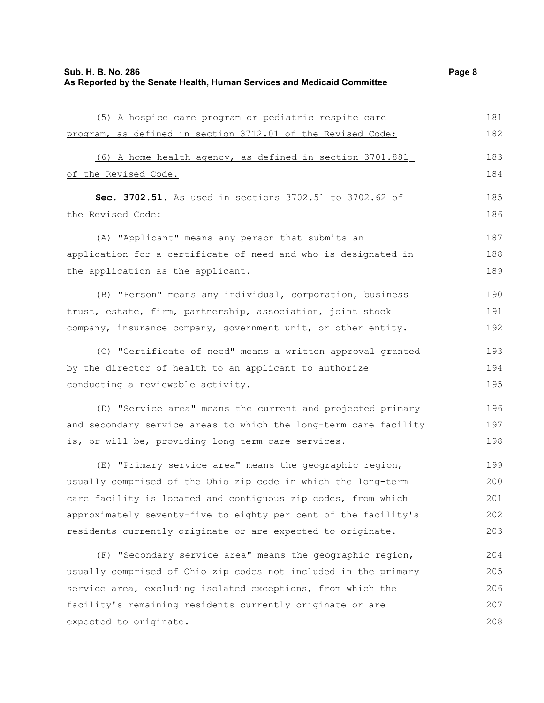#### **Sub. H. B. No. 286 Page 8 As Reported by the Senate Health, Human Services and Medicaid Committee**

| (5) A hospice care program or pediatric respite care             | 181 |
|------------------------------------------------------------------|-----|
| program, as defined in section 3712.01 of the Revised Code;      | 182 |
| (6) A home health agency, as defined in section 3701.881         | 183 |
|                                                                  |     |
| of the Revised Code.                                             | 184 |
| Sec. 3702.51. As used in sections 3702.51 to 3702.62 of          | 185 |
| the Revised Code:                                                | 186 |
|                                                                  |     |
| (A) "Applicant" means any person that submits an                 | 187 |
| application for a certificate of need and who is designated in   | 188 |
| the application as the applicant.                                | 189 |
|                                                                  |     |
| (B) "Person" means any individual, corporation, business         | 190 |
| trust, estate, firm, partnership, association, joint stock       | 191 |
| company, insurance company, government unit, or other entity.    | 192 |
| (C) "Certificate of need" means a written approval granted       | 193 |
| by the director of health to an applicant to authorize           | 194 |
|                                                                  |     |
| conducting a reviewable activity.                                | 195 |
| (D) "Service area" means the current and projected primary       | 196 |
| and secondary service areas to which the long-term care facility | 197 |
| is, or will be, providing long-term care services.               | 198 |
|                                                                  |     |
| (E) "Primary service area" means the geographic region,          | 199 |

(E) "Primary service area" means the geographic region, usually comprised of the Ohio zip code in which the long-term care facility is located and contiguous zip codes, from which approximately seventy-five to eighty per cent of the facility's residents currently originate or are expected to originate. 200 201 202 203

(F) "Secondary service area" means the geographic region, usually comprised of Ohio zip codes not included in the primary service area, excluding isolated exceptions, from which the facility's remaining residents currently originate or are expected to originate. 204 205 206 207 208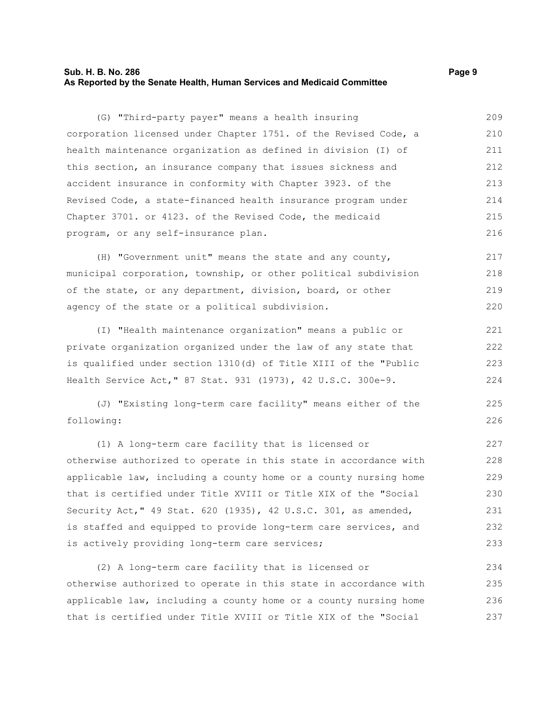#### **Sub. H. B. No. 286 Page 9 As Reported by the Senate Health, Human Services and Medicaid Committee**

(G) "Third-party payer" means a health insuring corporation licensed under Chapter 1751. of the Revised Code, a health maintenance organization as defined in division (I) of this section, an insurance company that issues sickness and accident insurance in conformity with Chapter 3923. of the Revised Code, a state-financed health insurance program under Chapter 3701. or 4123. of the Revised Code, the medicaid program, or any self-insurance plan. 209 210 211 212 213 214 215 216

(H) "Government unit" means the state and any county, municipal corporation, township, or other political subdivision of the state, or any department, division, board, or other agency of the state or a political subdivision. 217 218 219 220

(I) "Health maintenance organization" means a public or private organization organized under the law of any state that is qualified under section 1310(d) of Title XIII of the "Public Health Service Act," 87 Stat. 931 (1973), 42 U.S.C. 300e-9.

(J) "Existing long-term care facility" means either of the following:

(1) A long-term care facility that is licensed or otherwise authorized to operate in this state in accordance with applicable law, including a county home or a county nursing home that is certified under Title XVIII or Title XIX of the "Social Security Act," 49 Stat. 620 (1935), 42 U.S.C. 301, as amended, is staffed and equipped to provide long-term care services, and is actively providing long-term care services; 227 228 229 230 231 232 233

(2) A long-term care facility that is licensed or otherwise authorized to operate in this state in accordance with applicable law, including a county home or a county nursing home that is certified under Title XVIII or Title XIX of the "Social 234 235 236 237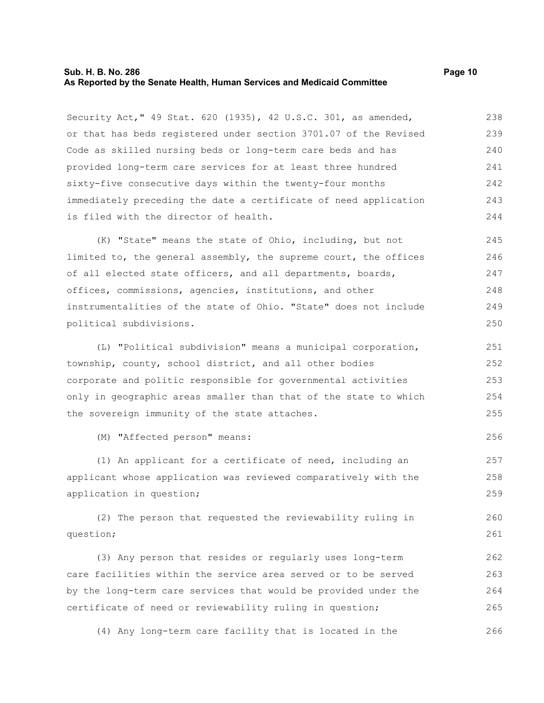#### **Sub. H. B. No. 286 Page 10 As Reported by the Senate Health, Human Services and Medicaid Committee**

Security Act," 49 Stat. 620 (1935), 42 U.S.C. 301, as amended, or that has beds registered under section 3701.07 of the Revised Code as skilled nursing beds or long-term care beds and has provided long-term care services for at least three hundred sixty-five consecutive days within the twenty-four months immediately preceding the date a certificate of need application is filed with the director of health. 238 239 240 241 242 243 244

(K) "State" means the state of Ohio, including, but not limited to, the general assembly, the supreme court, the offices of all elected state officers, and all departments, boards, offices, commissions, agencies, institutions, and other instrumentalities of the state of Ohio. "State" does not include political subdivisions. 245 246 247 248 249 250

(L) "Political subdivision" means a municipal corporation, township, county, school district, and all other bodies corporate and politic responsible for governmental activities only in geographic areas smaller than that of the state to which the sovereign immunity of the state attaches. 251 252 253 254 255

(M) "Affected person" means:

(1) An applicant for a certificate of need, including an applicant whose application was reviewed comparatively with the application in question;

(2) The person that requested the reviewability ruling in question; 260 261

(3) Any person that resides or regularly uses long-term care facilities within the service area served or to be served by the long-term care services that would be provided under the certificate of need or reviewability ruling in question; 262 263 264 265

(4) Any long-term care facility that is located in the

256

257 258 259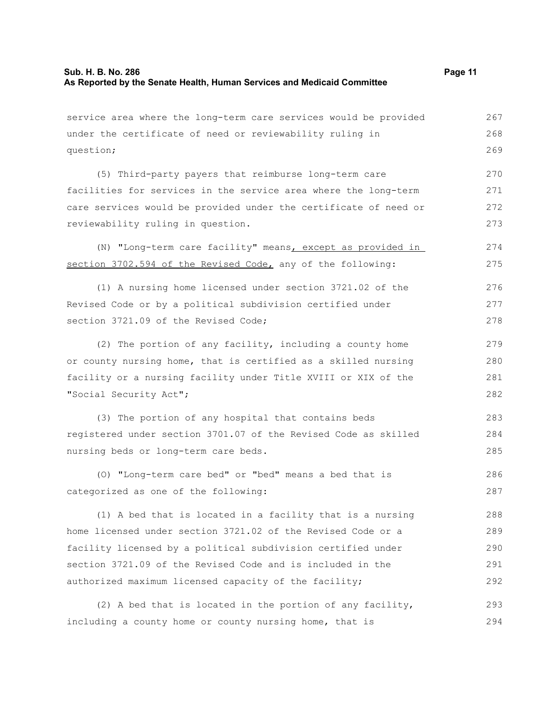| service area where the long-term care services would be provided | 267 |
|------------------------------------------------------------------|-----|
| under the certificate of need or reviewability ruling in         | 268 |
| question;                                                        | 269 |
| (5) Third-party payers that reimburse long-term care             | 270 |
| facilities for services in the service area where the long-term  | 271 |
| care services would be provided under the certificate of need or | 272 |
| reviewability ruling in question.                                | 273 |
| (N) "Long-term care facility" means, except as provided in       | 274 |
| section 3702.594 of the Revised Code, any of the following:      | 275 |
| (1) A nursing home licensed under section 3721.02 of the         | 276 |
| Revised Code or by a political subdivision certified under       | 277 |
| section 3721.09 of the Revised Code;                             | 278 |
| (2) The portion of any facility, including a county home         | 279 |
| or county nursing home, that is certified as a skilled nursing   | 280 |
| facility or a nursing facility under Title XVIII or XIX of the   | 281 |
| "Social Security Act";                                           | 282 |
| (3) The portion of any hospital that contains beds               | 283 |
| registered under section 3701.07 of the Revised Code as skilled  | 284 |
| nursing beds or long-term care beds.                             | 285 |
| (0) "Long-term care bed" or "bed" means a bed that is            | 286 |
| categorized as one of the following:                             | 287 |
| (1) A bed that is located in a facility that is a nursing        | 288 |
| home licensed under section 3721.02 of the Revised Code or a     | 289 |
| facility licensed by a political subdivision certified under     | 290 |
| section 3721.09 of the Revised Code and is included in the       | 291 |
| authorized maximum licensed capacity of the facility;            | 292 |
| (2) A bed that is located in the portion of any facility,        | 293 |
| including a county home or county nursing home, that is          | 294 |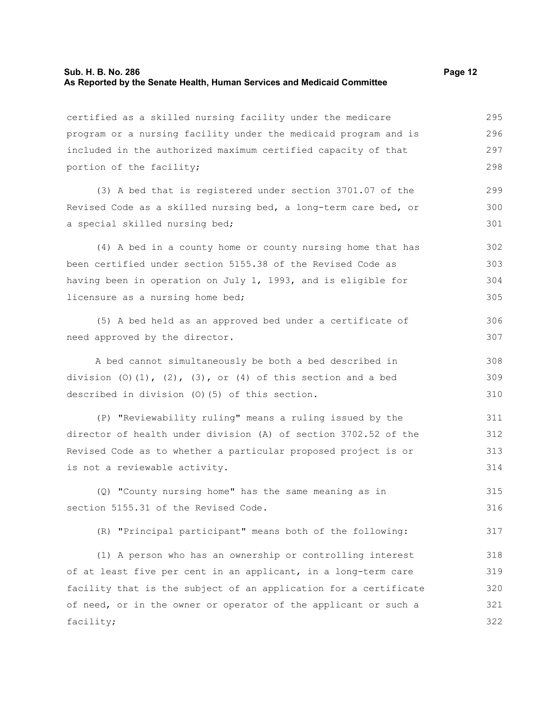certified as a skilled nursing facility under the medicare program or a nursing facility under the medicaid program and is included in the authorized maximum certified capacity of that portion of the facility; 295 296 297 298

(3) A bed that is registered under section 3701.07 of the Revised Code as a skilled nursing bed, a long-term care bed, or a special skilled nursing bed;

(4) A bed in a county home or county nursing home that has been certified under section 5155.38 of the Revised Code as having been in operation on July 1, 1993, and is eligible for licensure as a nursing home bed; 302 303 304 305

(5) A bed held as an approved bed under a certificate of need approved by the director.

A bed cannot simultaneously be both a bed described in division  $(0)(1)$ ,  $(2)$ ,  $(3)$ , or  $(4)$  of this section and a bed described in division (O)(5) of this section. 308 309 310

(P) "Reviewability ruling" means a ruling issued by the director of health under division (A) of section 3702.52 of the Revised Code as to whether a particular proposed project is or is not a reviewable activity. 311 312 313 314

(Q) "County nursing home" has the same meaning as in section 5155.31 of the Revised Code. 315 316

(R) "Principal participant" means both of the following: 317

(1) A person who has an ownership or controlling interest of at least five per cent in an applicant, in a long-term care facility that is the subject of an application for a certificate of need, or in the owner or operator of the applicant or such a facility; 318 319 320 321 322

299 300 301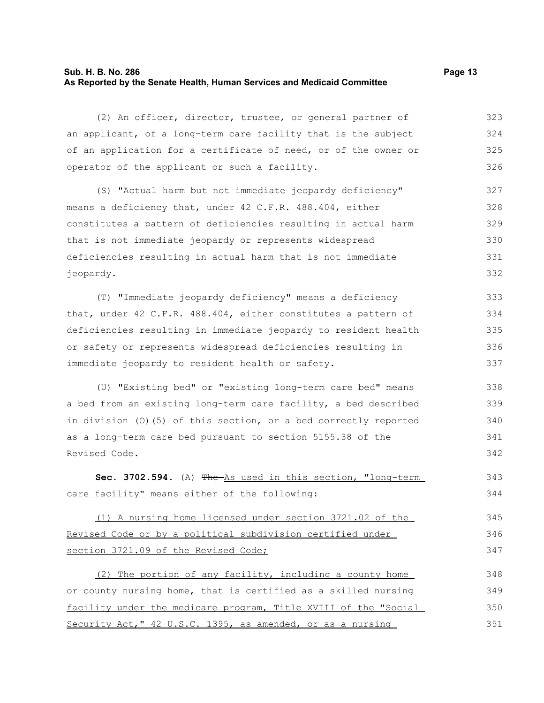#### **Sub. H. B. No. 286 Page 13 As Reported by the Senate Health, Human Services and Medicaid Committee**

(2) An officer, director, trustee, or general partner of an applicant, of a long-term care facility that is the subject of an application for a certificate of need, or of the owner or operator of the applicant or such a facility. 323 324 325 326

(S) "Actual harm but not immediate jeopardy deficiency" means a deficiency that, under 42 C.F.R. 488.404, either constitutes a pattern of deficiencies resulting in actual harm that is not immediate jeopardy or represents widespread deficiencies resulting in actual harm that is not immediate jeopardy. 327 328 329 330 331 332

(T) "Immediate jeopardy deficiency" means a deficiency that, under 42 C.F.R. 488.404, either constitutes a pattern of deficiencies resulting in immediate jeopardy to resident health or safety or represents widespread deficiencies resulting in immediate jeopardy to resident health or safety. 333 334 335 336 337

(U) "Existing bed" or "existing long-term care bed" means a bed from an existing long-term care facility, a bed described in division (O)(5) of this section, or a bed correctly reported as a long-term care bed pursuant to section 5155.38 of the Revised Code. 338 339 340 341 342

**Sec. 3702.594.** (A) The As used in this section, "long-term care facility" means either of the following: 343 344

(1) A nursing home licensed under section 3721.02 of the Revised Code or by a political subdivision certified under section 3721.09 of the Revised Code; 345 346 347

(2) The portion of any facility, including a county home or county nursing home, that is certified as a skilled nursing facility under the medicare program, Title XVIII of the "Social Security Act," 42 U.S.C. 1395, as amended, or as a nursing 348 349 350 351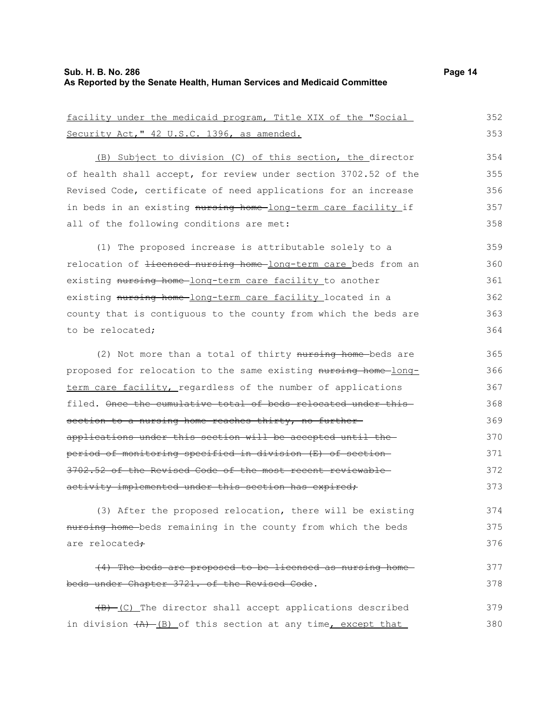| facility under the medicaid program, Title XIX of the "Social              | 352 |
|----------------------------------------------------------------------------|-----|
| Security Act, " 42 U.S.C. 1396, as amended.                                | 353 |
| (B) Subject to division (C) of this section, the director                  | 354 |
| of health shall accept, for review under section 3702.52 of the            | 355 |
| Revised Code, certificate of need applications for an increase             | 356 |
| in beds in an existing nursing home-long-term care facility if             | 357 |
| all of the following conditions are met:                                   | 358 |
| (1) The proposed increase is attributable solely to a                      | 359 |
| relocation of <del>licensed nursing home long-term care</del> beds from an | 360 |
| existing nursing home-long-term care facility to another                   | 361 |
| existing nursing home-long-term care facility located in a                 | 362 |
| county that is contiguous to the county from which the beds are            | 363 |
| to be relocated;                                                           | 364 |
| (2) Not more than a total of thirty nursing home-beds are                  | 365 |
| proposed for relocation to the same existing nursing home long-            | 366 |
| term care facility, regardless of the number of applications               | 367 |
| filed. Once the cumulative total of beds relocated under this              | 368 |
| section to a nursing home reaches thirty, no further-                      | 369 |
| applications under this section will be accepted until the-                | 370 |
| period of monitoring specified in division (E) of section-                 | 371 |
| 3702.52 of the Revised Code of the most recent reviewable                  | 372 |
| activity implemented under this section has expired;                       | 373 |
| (3) After the proposed relocation, there will be existing                  | 374 |
| nursing home-beds remaining in the county from which the beds              | 375 |
| are relocated <del>;</del>                                                 | 376 |
| (4) The beds are proposed to be licensed as nursing home-                  | 377 |
| beds under Chapter 3721. of the Revised Code.                              | 378 |
| $\frac{1}{2}$ (C) The director shall accept applications described         | 379 |
| in division $(A)$ (B) of this section at any time, except that             | 380 |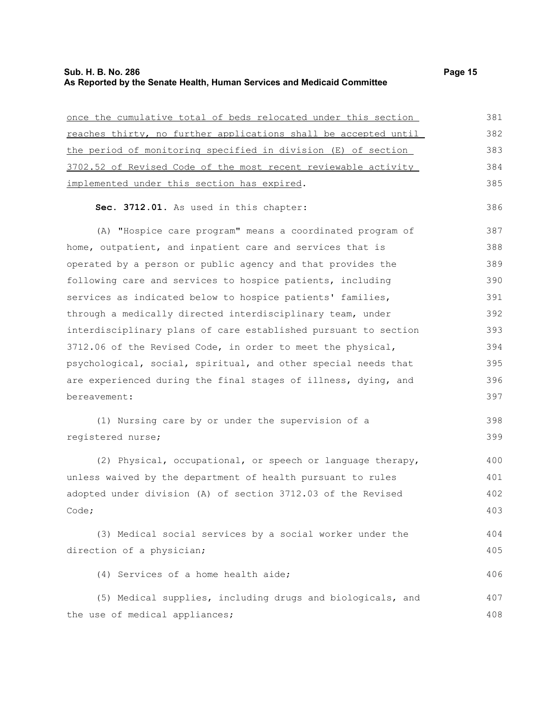#### **Sub. H. B. No. 286 Page 15 As Reported by the Senate Health, Human Services and Medicaid Committee**

| once the cumulative total of beds relocated under this section                                             |
|------------------------------------------------------------------------------------------------------------|
| reaches thirty, no further applications shall be accepted until                                            |
| the period of monitoring specified in division (E) of section                                              |
| 3702.52 of Revised Code of the most recent reviewable activity                                             |
| implemented under this section has expired.                                                                |
| Sec. 3712.01. As used in this chapter:                                                                     |
| (A) "Hospice care program" means a coordinated program of                                                  |
| home, outpatient, and inpatient care and services that is                                                  |
| operated by a person or public agency and that provides the                                                |
| $\sim$ 11 $\sim$ 12 $\sim$ 12 $\sim$ 12 $\sim$ 12 $\sim$ 12 $\sim$ 12 $\sim$ 12 $\sim$ 12 $\sim$ 12 $\sim$ |

operated by a pers following care and services to hospice patients, including services as indicated below to hospice patients' families, through a medically directed interdisciplinary team, under interdisciplinary plans of care established pursuant to section 3712.06 of the Revised Code, in order to meet the physical, psychological, social, spiritual, and other special needs that

are experienced during the final stages of illness, dying, and bereavement: 396 397

```
(1) Nursing care by or under the supervision of a
registered nurse;
                                                                             398
                                                                             399
```
(2) Physical, occupational, or speech or language therapy, unless waived by the department of health pursuant to rules adopted under division (A) of section 3712.03 of the Revised Code; 400 401 402 403

```
(3) Medical social services by a social worker under the
direction of a physician;
                                                                            404
                                                                            405
```
(4) Services of a home health aide;

(5) Medical supplies, including drugs and biologicals, and the use of medical appliances; 407 408

386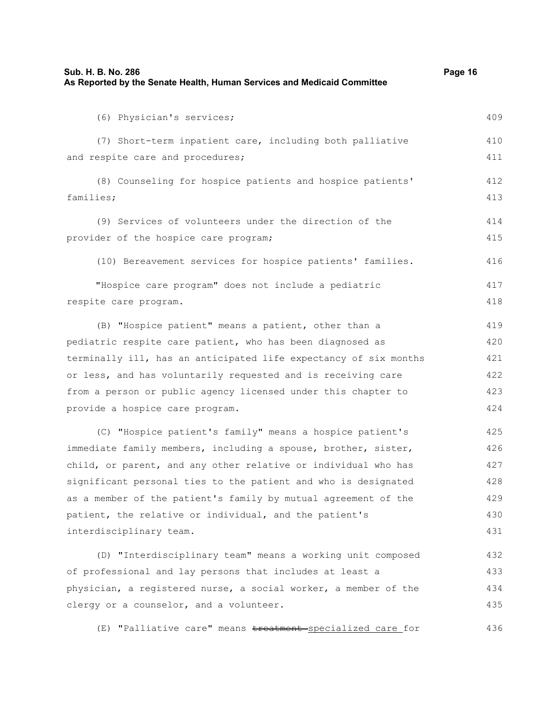| Sub. H. B. No. 286<br>As Reported by the Senate Health, Human Services and Medicaid Committee | Page 16 |
|-----------------------------------------------------------------------------------------------|---------|
| (6) Physician's services;                                                                     | 409     |
| (7) Short-term inpatient care, including both palliative                                      | 410     |
| and respite care and procedures;                                                              | 411     |
| (8) Counseling for hospice patients and hospice patients'                                     | 412     |
| families;                                                                                     | 413     |
| (9) Services of volunteers under the direction of the                                         | 414     |
| provider of the hospice care program;                                                         | 415     |
| (10) Bereavement services for hospice patients' families.                                     | 416     |
| "Hospice care program" does not include a pediatric                                           | 417     |
| respite care program.                                                                         | 418     |
| (B) "Hospice patient" means a patient, other than a                                           | 419     |
| pediatric respite care patient, who has been diagnosed as                                     | 420     |
| terminally ill, has an anticipated life expectancy of six months                              | 421     |
| or less, and has voluntarily requested and is receiving care                                  | 422     |
| from a person or public agency licensed under this chapter to                                 | 423     |
| provide a hospice care program.                                                               | 424     |
| (C) "Hospice patient's family" means a hospice patient's                                      | 425     |
| immediate family members, including a spouse, brother, sister,                                | 426     |
| child, or parent, and any other relative or individual who has                                | 427     |
| significant personal ties to the patient and who is designated                                | 428     |
| as a member of the patient's family by mutual agreement of the                                | 429     |
| patient, the relative or individual, and the patient's                                        | 430     |
| interdisciplinary team.                                                                       | 431     |
| (D) "Interdisciplinary team" means a working unit composed                                    | 432     |
| of professional and lay persons that includes at least a                                      | 433     |
| physician, a registered nurse, a social worker, a member of the                               | 434     |

(E) "Palliative care" means treatment specialized care for 436

435

clergy or a counselor, and a volunteer.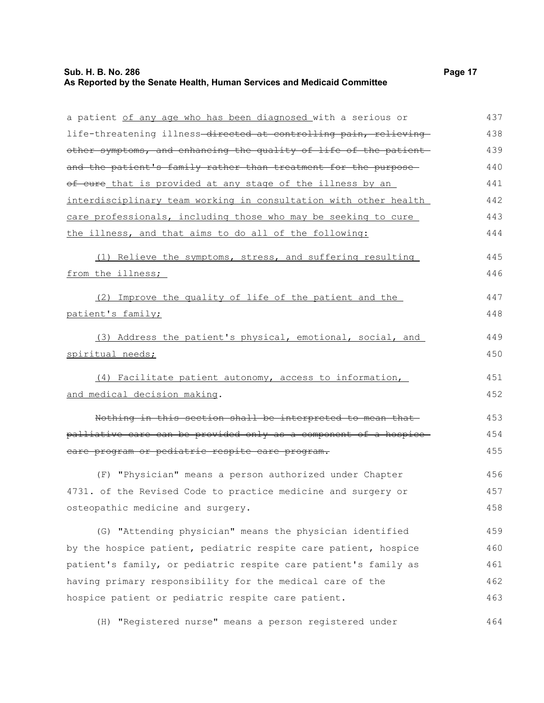### **Sub. H. B. No. 286 Page 17 As Reported by the Senate Health, Human Services and Medicaid Committee**

| a patient of any age who has been diagnosed with a serious or     | 437 |
|-------------------------------------------------------------------|-----|
| life-threatening illness-directed at controlling pain, relieving- | 438 |
| other symptoms, and enhancing the quality of life of the patient  | 439 |
| and the patient's family rather than treatment for the purpose-   | 440 |
| of cure that is provided at any stage of the illness by an        | 441 |
| interdisciplinary team working in consultation with other health  | 442 |
| care professionals, including those who may be seeking to cure    | 443 |
| the illness, and that aims to do all of the following:            | 444 |
| (1) Relieve the symptoms, stress, and suffering resulting         | 445 |
| from the illness;                                                 | 446 |
| (2) Improve the quality of life of the patient and the            | 447 |
| patient's family;                                                 | 448 |
| (3) Address the patient's physical, emotional, social, and        | 449 |
| spiritual needs;                                                  | 450 |
| (4) Facilitate patient autonomy, access to information,           | 451 |
| and medical decision making.                                      | 452 |
| Nothing in this section shall be interpreted to mean that         | 453 |
| palliative care can be provided only as a component of a hospice- | 454 |
| eare program or pediatric respite care program.                   | 455 |
| (F) "Physician" means a person authorized under Chapter           | 456 |
| 4731. of the Revised Code to practice medicine and surgery or     | 457 |
| osteopathic medicine and surgery.                                 | 458 |
| (G) "Attending physician" means the physician identified          | 459 |
| by the hospice patient, pediatric respite care patient, hospice   | 460 |
| patient's family, or pediatric respite care patient's family as   | 461 |
| having primary responsibility for the medical care of the         | 462 |
| hospice patient or pediatric respite care patient.                | 463 |
| (H) "Registered nurse" means a person registered under            | 464 |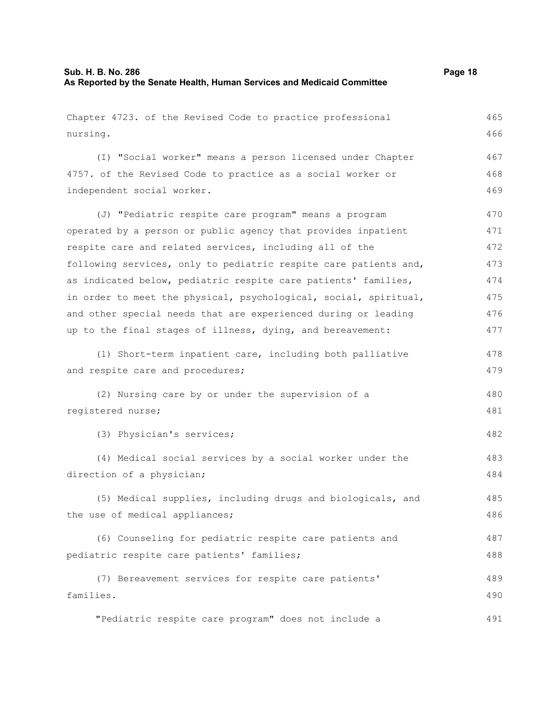| Chapter 4723. of the Revised Code to practice professional       | 465 |
|------------------------------------------------------------------|-----|
| nursing.                                                         | 466 |
| (I) "Social worker" means a person licensed under Chapter        | 467 |
| 4757. of the Revised Code to practice as a social worker or      | 468 |
| independent social worker.                                       | 469 |
| (J) "Pediatric respite care program" means a program             | 470 |
| operated by a person or public agency that provides inpatient    | 471 |
| respite care and related services, including all of the          | 472 |
| following services, only to pediatric respite care patients and, | 473 |
| as indicated below, pediatric respite care patients' families,   | 474 |
| in order to meet the physical, psychological, social, spiritual, | 475 |
| and other special needs that are experienced during or leading   | 476 |
| up to the final stages of illness, dying, and bereavement:       | 477 |
| (1) Short-term inpatient care, including both palliative         | 478 |
| and respite care and procedures;                                 | 479 |
| (2) Nursing care by or under the supervision of a                | 480 |
| registered nurse;                                                | 481 |
| (3) Physician's services;                                        | 482 |
| (4) Medical social services by a social worker under the         | 483 |
| direction of a physician;                                        | 484 |
| (5) Medical supplies, including drugs and biologicals, and       | 485 |
| the use of medical appliances;                                   | 486 |
| (6) Counseling for pediatric respite care patients and           | 487 |
| pediatric respite care patients' families;                       | 488 |
| (7) Bereavement services for respite care patients'              | 489 |
| families.                                                        | 490 |
| "Pediatric respite care program" does not include a              | 491 |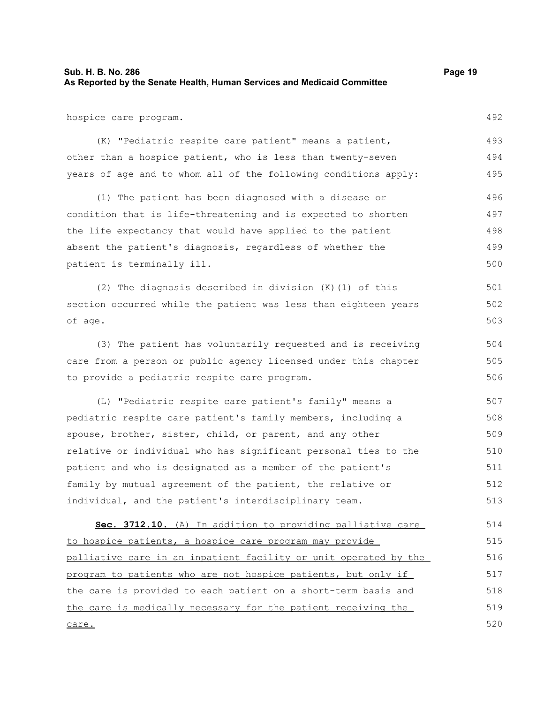492

(K) "Pediatric respite care patient" means a patient, other than a hospice patient, who is less than twenty-seven years of age and to whom all of the following conditions apply: 493 494 495

(1) The patient has been diagnosed with a disease or condition that is life-threatening and is expected to shorten the life expectancy that would have applied to the patient absent the patient's diagnosis, regardless of whether the patient is terminally ill. 496 497 498 499 500

(2) The diagnosis described in division (K)(1) of this section occurred while the patient was less than eighteen years of age. 501 502 503

(3) The patient has voluntarily requested and is receiving care from a person or public agency licensed under this chapter to provide a pediatric respite care program. 504 505 506

(L) "Pediatric respite care patient's family" means a pediatric respite care patient's family members, including a spouse, brother, sister, child, or parent, and any other relative or individual who has significant personal ties to the patient and who is designated as a member of the patient's family by mutual agreement of the patient, the relative or individual, and the patient's interdisciplinary team. 507 508 509 510 511 512 513

 **Sec. 3712.10.** (A) In addition to providing palliative care to hospice patients, a hospice care program may provide palliative care in an inpatient facility or unit operated by the program to patients who are not hospice patients, but only if the care is provided to each patient on a short-term basis and the care is medically necessary for the patient receiving the care. 514 515 516 517 518 519 520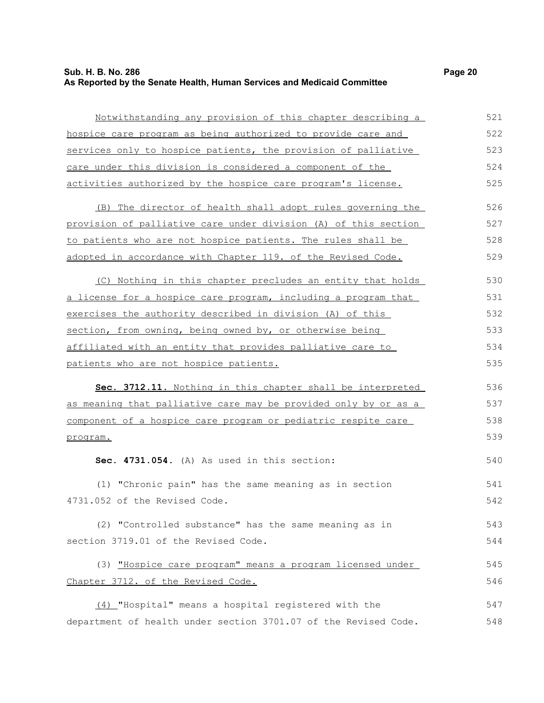#### **Sub. H. B. No. 286 Page 20 As Reported by the Senate Health, Human Services and Medicaid Committee**

Notwithstanding any provision of this chapter describing a hospice care program as being authorized to provide care and services only to hospice patients, the provision of palliative care under this division is considered a component of the activities authorized by the hospice care program's license. (B) The director of health shall adopt rules governing the provision of palliative care under division (A) of this section to patients who are not hospice patients. The rules shall be adopted in accordance with Chapter 119. of the Revised Code. (C) Nothing in this chapter precludes an entity that holds a license for a hospice care program, including a program that exercises the authority described in division (A) of this section, from owning, being owned by, or otherwise being affiliated with an entity that provides palliative care to patients who are not hospice patients. **Sec. 3712.11.** Nothing in this chapter shall be interpreted as meaning that palliative care may be provided only by or as a component of a hospice care program or pediatric respite care program. **Sec. 4731.054.** (A) As used in this section: (1) "Chronic pain" has the same meaning as in section 4731.052 of the Revised Code. (2) "Controlled substance" has the same meaning as in section 3719.01 of the Revised Code. (3) "Hospice care program" means a program licensed under Chapter 3712. of the Revised Code. (4) "Hospital" means a hospital registered with the 521 522 523 524 525 526 527 528 529 530 531 532 533 534 535 536 537 538 539 540 541 542 543 544 545 546 547

department of health under section 3701.07 of the Revised Code. 548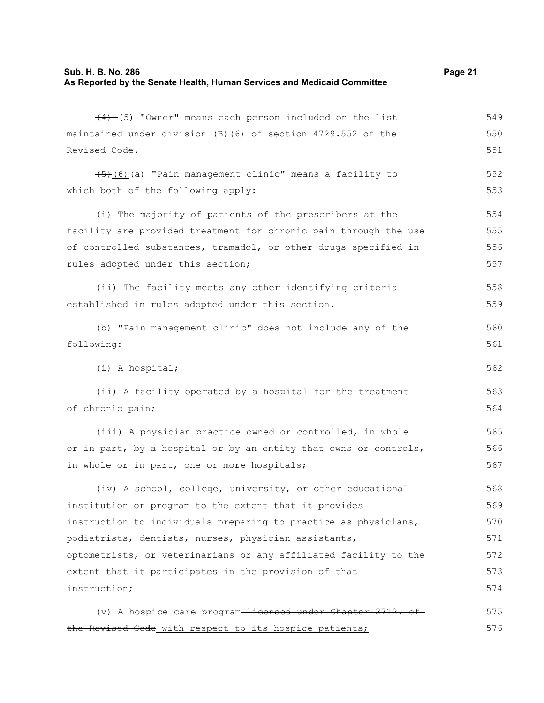| $(4)$ - $(5)$ "Owner" means each person included on the list     | 549 |
|------------------------------------------------------------------|-----|
| maintained under division (B) (6) of section 4729.552 of the     | 550 |
| Revised Code.                                                    | 551 |
| (5) (6) (a) "Pain management clinic" means a facility to         | 552 |
| which both of the following apply:                               | 553 |
|                                                                  |     |
| (i) The majority of patients of the prescribers at the           | 554 |
| facility are provided treatment for chronic pain through the use | 555 |
| of controlled substances, tramadol, or other drugs specified in  | 556 |
| rules adopted under this section;                                | 557 |
| (ii) The facility meets any other identifying criteria           | 558 |
| established in rules adopted under this section.                 | 559 |
|                                                                  |     |
| (b) "Pain management clinic" does not include any of the         | 560 |
| following:                                                       | 561 |
| (i) A hospital;                                                  | 562 |
| (ii) A facility operated by a hospital for the treatment         | 563 |
| of chronic pain;                                                 | 564 |
| (iii) A physician practice owned or controlled, in whole         | 565 |
| or in part, by a hospital or by an entity that owns or controls, | 566 |
| in whole or in part, one or more hospitals;                      | 567 |
| (iv) A school, college, university, or other educational         | 568 |
| institution or program to the extent that it provides            | 569 |
| instruction to individuals preparing to practice as physicians,  | 570 |
| podiatrists, dentists, nurses, physician assistants,             | 571 |
| optometrists, or veterinarians or any affiliated facility to the | 572 |
| extent that it participates in the provision of that             | 573 |
| instruction;                                                     | 574 |
| (v) A hospice care program licensed under Chapter 3712. of       | 575 |
| the Revised Code_with respect to its hospice patients;           | 576 |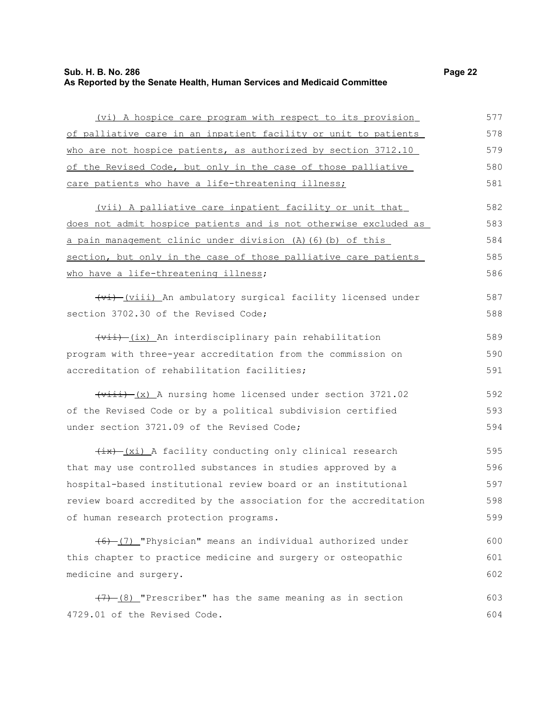## **Sub. H. B. No. 286 Page 22 As Reported by the Senate Health, Human Services and Medicaid Committee**

| (vi) A hospice care program with respect to its provision                                | 577 |
|------------------------------------------------------------------------------------------|-----|
| of palliative care in an inpatient facility or unit to patients                          | 578 |
| who are not hospice patients, as authorized by section 3712.10                           | 579 |
| of the Revised Code, but only in the case of those palliative                            | 580 |
| care patients who have a life-threatening illness;                                       | 581 |
| (vii) A palliative care inpatient facility or unit that                                  | 582 |
| does not admit hospice patients and is not otherwise excluded as                         | 583 |
| a pain management clinic under division (A) (6) (b) of this                              | 584 |
| section, but only in the case of those palliative care patients                          | 585 |
| who have a life-threatening illness;                                                     | 586 |
| (vi) (viii) An ambulatory surgical facility licensed under                               | 587 |
| section 3702.30 of the Revised Code;                                                     | 588 |
| (vii) (ix) An interdisciplinary pain rehabilitation                                      | 589 |
| program with three-year accreditation from the commission on                             | 590 |
| accreditation of rehabilitation facilities;                                              | 591 |
| $\overline{(viii) - (x)}$ A nursing home licensed under section 3721.02                  | 592 |
| of the Revised Code or by a political subdivision certified                              | 593 |
| under section 3721.09 of the Revised Code;                                               | 594 |
| $\frac{1}{1}$ $\frac{1}{1}$ $\frac{1}{2}$ and facility conducting only clinical research | 595 |
| that may use controlled substances in studies approved by a                              | 596 |
| hospital-based institutional review board or an institutional                            | 597 |
| review board accredited by the association for the accreditation                         | 598 |
| of human research protection programs.                                                   | 599 |
| (6) (7) "Physician" means an individual authorized under                                 | 600 |
| this chapter to practice medicine and surgery or osteopathic                             | 601 |
| medicine and surgery.                                                                    | 602 |
| $(7)$ (8) "Prescriber" has the same meaning as in section                                | 603 |
| 4729.01 of the Revised Code.                                                             | 604 |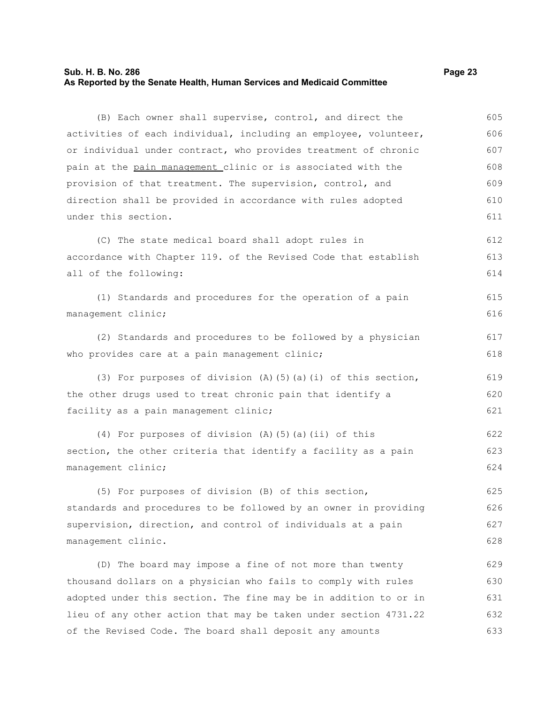#### **Sub. H. B. No. 286 Page 23 As Reported by the Senate Health, Human Services and Medicaid Committee**

(B) Each owner shall supervise, control, and direct the activities of each individual, including an employee, volunteer, or individual under contract, who provides treatment of chronic pain at the pain management clinic or is associated with the provision of that treatment. The supervision, control, and direction shall be provided in accordance with rules adopted under this section. 605 606 607 608 609 610 611

(C) The state medical board shall adopt rules in accordance with Chapter 119. of the Revised Code that establish all of the following: 612 613 614

(1) Standards and procedures for the operation of a pain management clinic; 615 616

(2) Standards and procedures to be followed by a physician who provides care at a pain management clinic;

(3) For purposes of division  $(A)$  (5)(a)(i) of this section, the other drugs used to treat chronic pain that identify a facility as a pain management clinic;

(4) For purposes of division (A)(5)(a)(ii) of this section, the other criteria that identify a facility as a pain management clinic; 622 623 624

(5) For purposes of division (B) of this section, standards and procedures to be followed by an owner in providing supervision, direction, and control of individuals at a pain management clinic. 625 626 627 628

(D) The board may impose a fine of not more than twenty thousand dollars on a physician who fails to comply with rules adopted under this section. The fine may be in addition to or in lieu of any other action that may be taken under section 4731.22 of the Revised Code. The board shall deposit any amounts 629 630 631 632 633

617 618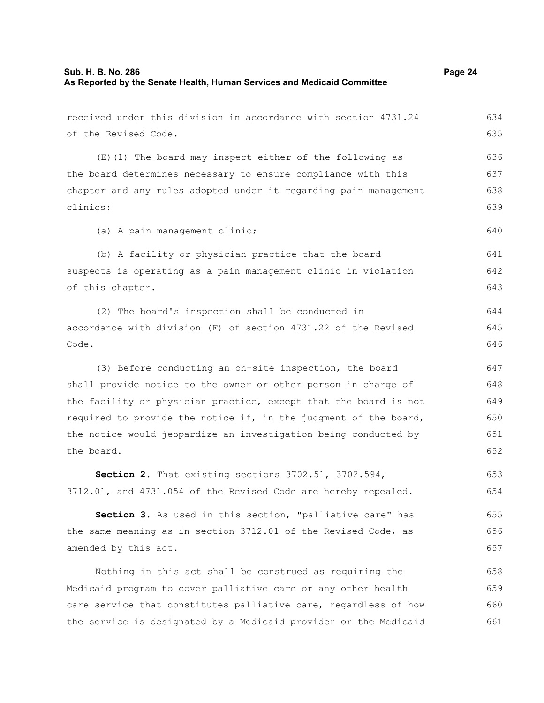| received under this division in accordance with section 4731.24  | 634 |
|------------------------------------------------------------------|-----|
| of the Revised Code.                                             | 635 |
| $(E)$ (1) The board may inspect either of the following as       | 636 |
| the board determines necessary to ensure compliance with this    | 637 |
| chapter and any rules adopted under it regarding pain management | 638 |
| clinics:                                                         | 639 |
| (a) A pain management clinic;                                    | 640 |
| (b) A facility or physician practice that the board              | 641 |
| suspects is operating as a pain management clinic in violation   | 642 |
| of this chapter.                                                 | 643 |
| (2) The board's inspection shall be conducted in                 | 644 |
| accordance with division (F) of section 4731.22 of the Revised   | 645 |
| Code.                                                            | 646 |
| (3) Before conducting an on-site inspection, the board           | 647 |
| shall provide notice to the owner or other person in charge of   | 648 |
| the facility or physician practice, except that the board is not | 649 |
| required to provide the notice if, in the judgment of the board, | 650 |
| the notice would jeopardize an investigation being conducted by  | 651 |
| the board.                                                       | 652 |
| Section 2. That existing sections 3702.51, 3702.594,             | 653 |
| 3712.01, and 4731.054 of the Revised Code are hereby repealed.   | 654 |
| Section 3. As used in this section, "palliative care" has        | 655 |
| the same meaning as in section 3712.01 of the Revised Code, as   | 656 |
| amended by this act.                                             | 657 |
| Nothing in this act shall be construed as requiring the          | 658 |
| Medicaid program to cover palliative care or any other health    | 659 |
| care service that constitutes palliative care, regardless of how | 660 |
| the service is designated by a Medicaid provider or the Medicaid | 661 |